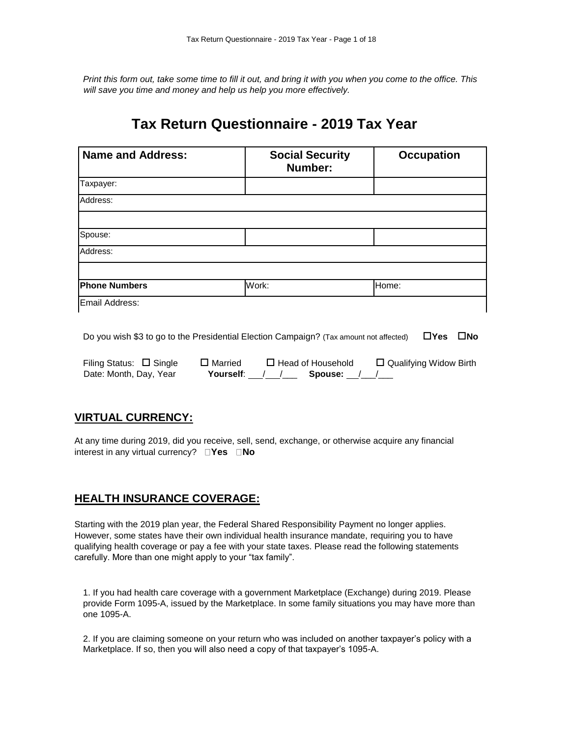*Print this form out, take some time to fill it out, and bring it with you when you come to the office. This will save you time and money and help us help you more effectively.*

# **Tax Return Questionnaire - 2019 Tax Year**

| <b>Name and Address:</b> | <b>Social Security</b><br>Number: | <b>Occupation</b> |
|--------------------------|-----------------------------------|-------------------|
| Taxpayer:                |                                   |                   |
| Address:                 |                                   |                   |
|                          |                                   |                   |
| Spouse:                  |                                   |                   |
| Address:                 |                                   |                   |
|                          |                                   |                   |
| <b>Phone Numbers</b>     | Work:                             | Home:             |
| Email Address:           |                                   |                   |

Do you wish \$3 to go to the Presidential Election Campaign? (Tax amount not affected) **Yes No** 

Filing Status:  $\Box$  Single  $\Box$  Married  $\Box$  Head of Household  $\Box$  Qualifying Widow Birth Date: Month, Day, Year **Yourself**: / /\_\_\_ **Spouse:** /\_\_/\_\_

### **VIRTUAL CURRENCY:**

At any time during 2019, did you receive, sell, send, exchange, or otherwise acquire any financial interest in any virtual currency?  $\Box$  Yes  $\Box$  No

### **HEALTH INSURANCE COVERAGE:**

Starting with the 2019 plan year, the Federal Shared Responsibility Payment no longer applies. However, some states have their own individual health insurance mandate, requiring you to have qualifying health coverage or pay a fee with your state taxes. Please read the following statements carefully. More than one might apply to your "tax family".

1. If you had health care coverage with a government Marketplace (Exchange) during 2019. Please provide Form 1095-A, issued by the Marketplace. In some family situations you may have more than one 1095-A.

2. If you are claiming someone on your return who was included on another taxpayer's policy with a Marketplace. If so, then you will also need a copy of that taxpayer's 1095-A.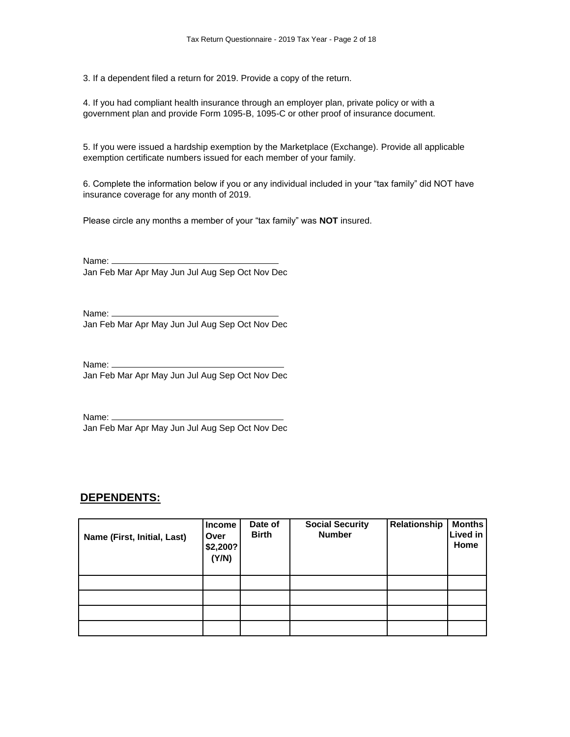3. If a dependent filed a return for 2019. Provide a copy of the return.

4. If you had compliant health insurance through an employer plan, private policy or with a government plan and provide Form 1095-B, 1095-C or other proof of insurance document.

5. If you were issued a hardship exemption by the Marketplace (Exchange). Provide all applicable exemption certificate numbers issued for each member of your family.

6. Complete the information below if you or any individual included in your "tax family" did NOT have insurance coverage for any month of 2019.

Please circle any months a member of your "tax family" was **NOT** insured.

Name: \_\_\_\_\_\_ Jan Feb Mar Apr May Jun Jul Aug Sep Oct Nov Dec

Name: Jan Feb Mar Apr May Jun Jul Aug Sep Oct Nov Dec

Name: \_\_ Jan Feb Mar Apr May Jun Jul Aug Sep Oct Nov Dec

Name: \_\_\_\_\_ Jan Feb Mar Apr May Jun Jul Aug Sep Oct Nov Dec

### **DEPENDENTS:**

| Name (First, Initial, Last) | Income<br><b>Over</b><br>\$2,200?<br>(Y/N) | Date of<br><b>Birth</b> | <b>Social Security</b><br><b>Number</b> | Relationship | <b>Months</b><br><b>Lived in</b><br>Home |
|-----------------------------|--------------------------------------------|-------------------------|-----------------------------------------|--------------|------------------------------------------|
|                             |                                            |                         |                                         |              |                                          |
|                             |                                            |                         |                                         |              |                                          |
|                             |                                            |                         |                                         |              |                                          |
|                             |                                            |                         |                                         |              |                                          |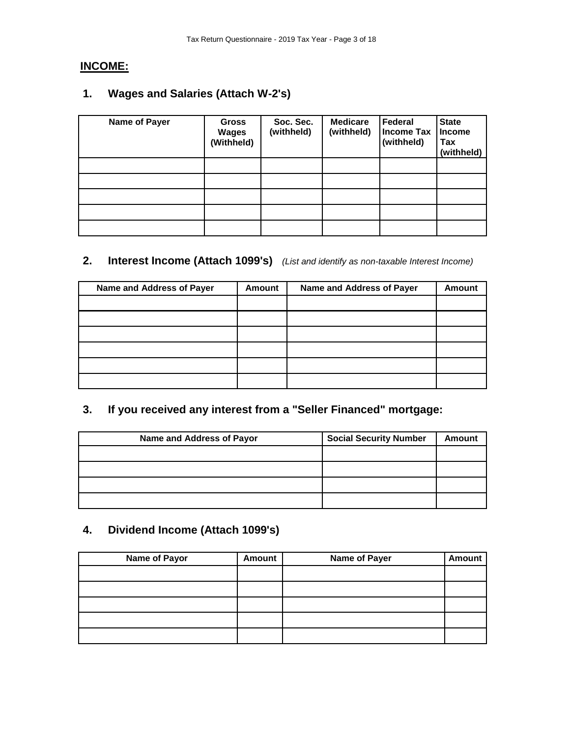# **INCOME:**

# **1. Wages and Salaries (Attach W-2's)**

| Name of Payer | <b>Gross</b><br><b>Wages</b><br>(Withheld) | Soc. Sec.<br>(withheld) | <b>Medicare</b><br>(withheld) | Federal<br><b>Income Tax</b><br>(withheld) | <b>State</b><br><b>Income</b><br>Tax<br>(withheld) |
|---------------|--------------------------------------------|-------------------------|-------------------------------|--------------------------------------------|----------------------------------------------------|
|               |                                            |                         |                               |                                            |                                                    |
|               |                                            |                         |                               |                                            |                                                    |
|               |                                            |                         |                               |                                            |                                                    |
|               |                                            |                         |                               |                                            |                                                    |
|               |                                            |                         |                               |                                            |                                                    |

## **2. Interest Income (Attach 1099's)** *(List and identify as non-taxable Interest Income)*

| Name and Address of Payer | <b>Amount</b> | Name and Address of Payer | <b>Amount</b> |
|---------------------------|---------------|---------------------------|---------------|
|                           |               |                           |               |
|                           |               |                           |               |
|                           |               |                           |               |
|                           |               |                           |               |
|                           |               |                           |               |
|                           |               |                           |               |

# **3. If you received any interest from a "Seller Financed" mortgage:**

| Name and Address of Payor | <b>Social Security Number</b> | <b>Amount</b> |
|---------------------------|-------------------------------|---------------|
|                           |                               |               |
|                           |                               |               |
|                           |                               |               |
|                           |                               |               |

# **4. Dividend Income (Attach 1099's)**

| <b>Name of Payor</b> | <b>Amount</b> | <b>Name of Payer</b> | <b>Amount</b> |
|----------------------|---------------|----------------------|---------------|
|                      |               |                      |               |
|                      |               |                      |               |
|                      |               |                      |               |
|                      |               |                      |               |
|                      |               |                      |               |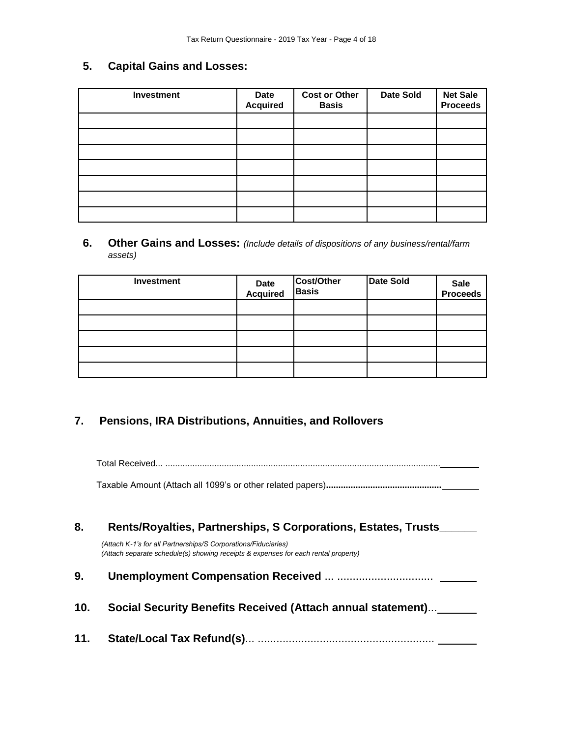# **5. Capital Gains and Losses:**

| <b>Investment</b> | Date<br><b>Acquired</b> | <b>Cost or Other</b><br><b>Basis</b> | <b>Date Sold</b> | <b>Net Sale</b><br><b>Proceeds</b> |
|-------------------|-------------------------|--------------------------------------|------------------|------------------------------------|
|                   |                         |                                      |                  |                                    |
|                   |                         |                                      |                  |                                    |
|                   |                         |                                      |                  |                                    |
|                   |                         |                                      |                  |                                    |
|                   |                         |                                      |                  |                                    |
|                   |                         |                                      |                  |                                    |
|                   |                         |                                      |                  |                                    |

**6. Other Gains and Losses:** *(Include details of dispositions of any business/rental/farm assets)*

| Investment | Date<br>Acquired | Cost/Other<br><b>Basis</b> | <b>Date Sold</b> | Sale<br>Proceeds |
|------------|------------------|----------------------------|------------------|------------------|
|            |                  |                            |                  |                  |
|            |                  |                            |                  |                  |
|            |                  |                            |                  |                  |
|            |                  |                            |                  |                  |
|            |                  |                            |                  |                  |

### **7. Pensions, IRA Distributions, Annuities, and Rollovers**

Total Received... ................................................................................................................

Taxable Amount (Attach all 1099's or other related papers)**...............................................** 

| 8.  | Rents/Royalties, Partnerships, S Corporations, Estates, Trusts                                                                                       |  |  |
|-----|------------------------------------------------------------------------------------------------------------------------------------------------------|--|--|
|     | (Attach K-1's for all Partnerships/S Corporations/Fiduciaries)<br>(Attach separate schedule(s) showing receipts & expenses for each rental property) |  |  |
| 9.  |                                                                                                                                                      |  |  |
| 10. | Social Security Benefits Received (Attach annual statement)                                                                                          |  |  |
| 11. |                                                                                                                                                      |  |  |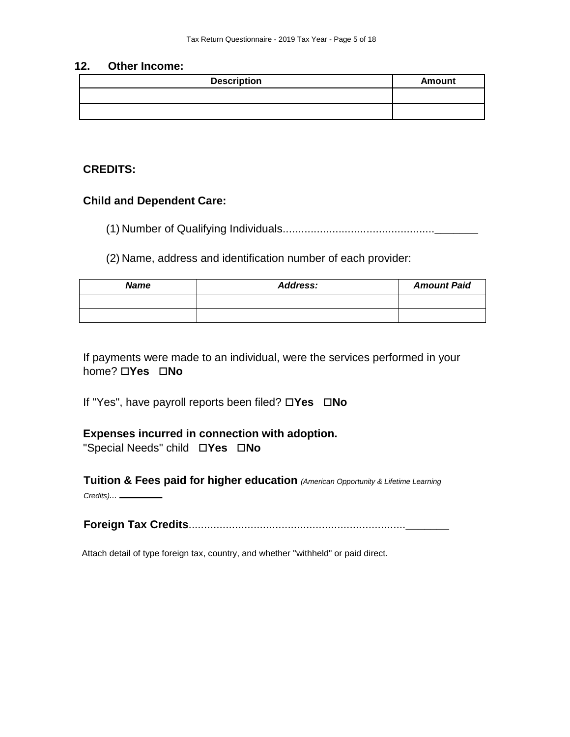### **12. Other Income:**

| <b>Description</b> | <b>Amount</b> |
|--------------------|---------------|
|                    |               |
|                    |               |

### **CREDITS:**

### **Child and Dependent Care:**

(1) Number of Qualifying Individuals.................................................**\_\_\_\_\_\_\_**

(2) Name, address and identification number of each provider:

| <b>Name</b> | <b>Address:</b> | <b>Amount Paid</b> |
|-------------|-----------------|--------------------|
|             |                 |                    |
|             |                 |                    |

If payments were made to an individual, were the services performed in your **home? □Yes □No** 

If "Yes", have payroll reports been filed? □Yes □No

### **Expenses incurred in connection with adoption.**

"Special Needs" child **Yes No** 

**Tuition & Fees paid for higher education** *(American Opportunity & Lifetime Learning Credits)...*

**Foreign Tax Credits**......................................................................**\_\_\_\_\_\_\_**

Attach detail of type foreign tax, country, and whether "withheld" or paid direct.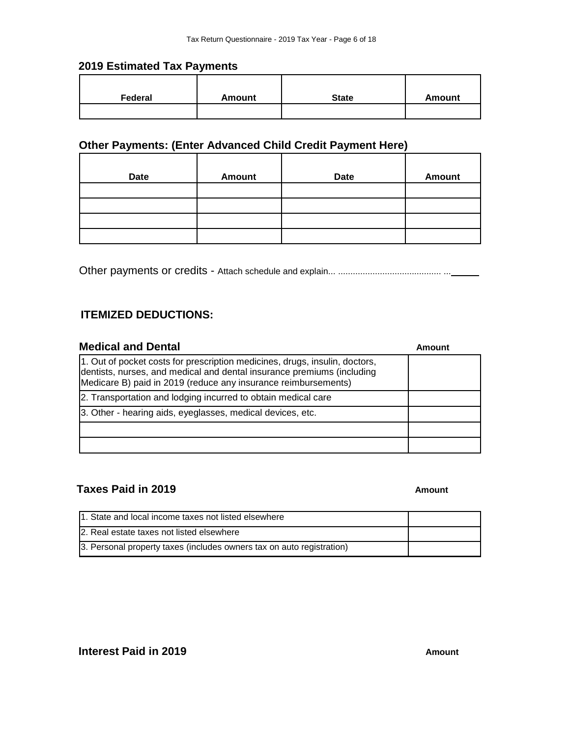### **2019 Estimated Tax Payments**

| Federal | <b>Amount</b> | <b>State</b> | Amount |
|---------|---------------|--------------|--------|
|         |               |              |        |

# **Other Payments: (Enter Advanced Child Credit Payment Here)**

| <b>Date</b> | <b>Amount</b> | <b>Date</b> | <b>Amount</b> |
|-------------|---------------|-------------|---------------|
|             |               |             |               |
|             |               |             |               |
|             |               |             |               |
|             |               |             |               |

Other payments or credits - Attach schedule and explain... .......................................... ...

### **ITEMIZED DEDUCTIONS:**

| <b>Medical and Dental</b>                                                                                                                                                                                               | Amount |
|-------------------------------------------------------------------------------------------------------------------------------------------------------------------------------------------------------------------------|--------|
| 1. Out of pocket costs for prescription medicines, drugs, insulin, doctors,<br>dentists, nurses, and medical and dental insurance premiums (including<br>Medicare B) paid in 2019 (reduce any insurance reimbursements) |        |
| 2. Transportation and lodging incurred to obtain medical care                                                                                                                                                           |        |
| 3. Other - hearing aids, eyeglasses, medical devices, etc.                                                                                                                                                              |        |
|                                                                                                                                                                                                                         |        |
|                                                                                                                                                                                                                         |        |

### **Taxes Paid in 2019 Amount Amount Amount**

| 11. State and local income taxes not listed elsewhere                 |  |
|-----------------------------------------------------------------------|--|
| 2. Real estate taxes not listed elsewhere                             |  |
| 3. Personal property taxes (includes owners tax on auto registration) |  |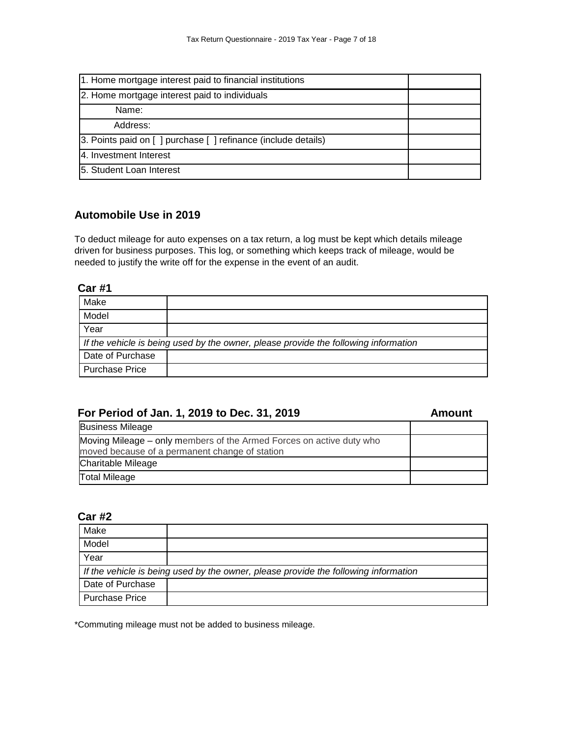| 1. Home mortgage interest paid to financial institutions       |  |
|----------------------------------------------------------------|--|
| 2. Home mortgage interest paid to individuals                  |  |
| Name:                                                          |  |
| Address:                                                       |  |
| 3. Points paid on [ ] purchase [ ] refinance (include details) |  |
| 4. Investment Interest                                         |  |
| 5. Student Loan Interest                                       |  |

### **Automobile Use in 2019**

To deduct mileage for auto expenses on a tax return, a log must be kept which details mileage driven for business purposes. This log, or something which keeps track of mileage, would be needed to justify the write off for the expense in the event of an audit.

### **Car #1**

| Make                                                                                |  |
|-------------------------------------------------------------------------------------|--|
| Model                                                                               |  |
| Year                                                                                |  |
| If the vehicle is being used by the owner, please provide the following information |  |
| Date of Purchase                                                                    |  |
| Purchase Price                                                                      |  |

### **For Period of Jan. 1, 2019 to Dec. 31, 2019 Amount**

| <b>Business Mileage</b>                                                                                                |  |
|------------------------------------------------------------------------------------------------------------------------|--|
| Moving Mileage – only members of the Armed Forces on active duty who<br>moved because of a permanent change of station |  |
| Charitable Mileage                                                                                                     |  |
| <b>Total Mileage</b>                                                                                                   |  |

### **Car #2**

| Make                  |                                                                                     |
|-----------------------|-------------------------------------------------------------------------------------|
| Model                 |                                                                                     |
| Year                  |                                                                                     |
|                       | If the vehicle is being used by the owner, please provide the following information |
| Date of Purchase      |                                                                                     |
| <b>Purchase Price</b> |                                                                                     |

\*Commuting mileage must not be added to business mileage.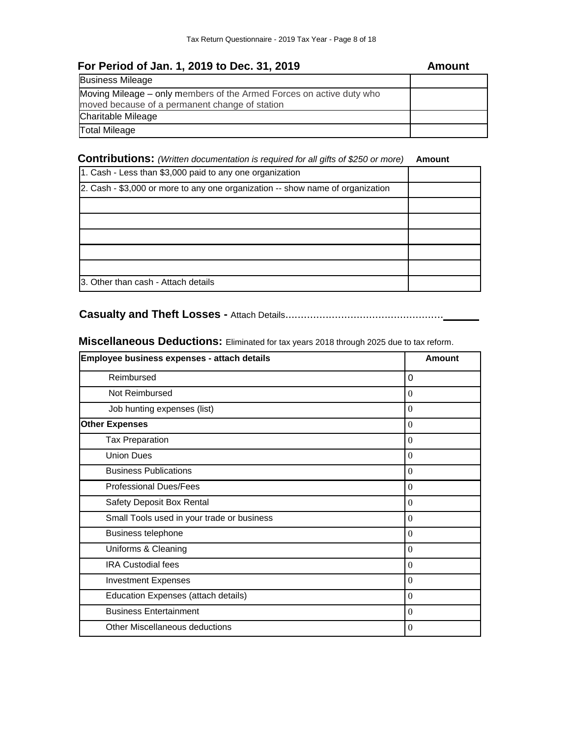| For Period of Jan. 1, 2019 to Dec. 31, 2019                                                                            | Amount |
|------------------------------------------------------------------------------------------------------------------------|--------|
| <b>Business Mileage</b>                                                                                                |        |
| Moving Mileage – only members of the Armed Forces on active duty who<br>moved because of a permanent change of station |        |
| <b>Charitable Mileage</b>                                                                                              |        |
| <b>Total Mileage</b>                                                                                                   |        |

### **Contributions:** *(Written documentation is required for all gifts of \$250 or more)* **Amount**

| 1. Cash - Less than \$3,000 paid to any one organization                        |  |
|---------------------------------------------------------------------------------|--|
| [2. Cash - \$3,000 or more to any one organization -- show name of organization |  |
|                                                                                 |  |
|                                                                                 |  |
|                                                                                 |  |
|                                                                                 |  |
|                                                                                 |  |
| 13. Other than cash - Attach details                                            |  |

# **Casualty and Theft Losses -** Attach Details...................................................

**Miscellaneous Deductions:** Eliminated for tax years 2018 through 2025 due to tax reform.

| Employee business expenses - attach details | Amount         |
|---------------------------------------------|----------------|
| Reimbursed                                  | 0              |
| Not Reimbursed                              | $\mathbf{0}$   |
| Job hunting expenses (list)                 | $\Omega$       |
| <b>Other Expenses</b>                       | $\Omega$       |
| <b>Tax Preparation</b>                      | $\Omega$       |
| <b>Union Dues</b>                           | $\Omega$       |
| <b>Business Publications</b>                | $\overline{0}$ |
| <b>Professional Dues/Fees</b>               | $\overline{0}$ |
| Safety Deposit Box Rental                   | $\overline{0}$ |
| Small Tools used in your trade or business  | $\overline{0}$ |
| <b>Business telephone</b>                   | $\overline{0}$ |
| Uniforms & Cleaning                         | $\Omega$       |
| <b>IRA Custodial fees</b>                   | $\Omega$       |
| <b>Investment Expenses</b>                  | $\Omega$       |
| Education Expenses (attach details)         | $\Omega$       |
| <b>Business Entertainment</b>               | $\Omega$       |
| Other Miscellaneous deductions              | $\mathbf{0}$   |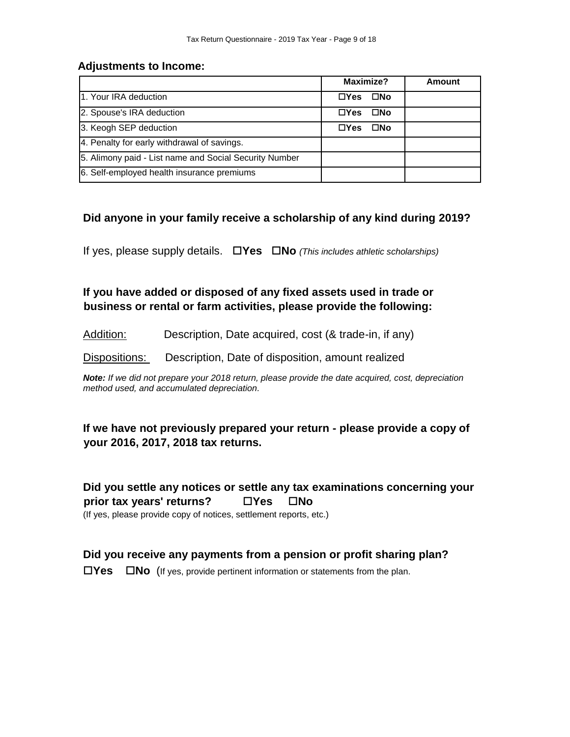### **Adjustments to Income:**

|                                                        | <b>Maximize?</b>            | <b>Amount</b> |
|--------------------------------------------------------|-----------------------------|---------------|
| 1. Your IRA deduction                                  | $\square$ No<br>$\Box Y$ es |               |
| 2. Spouse's IRA deduction                              | $\Box$ Yes<br>□No           |               |
| 3. Keogh SEP deduction                                 | $\Box$ Yes<br>$\square$ No  |               |
| 4. Penalty for early withdrawal of savings.            |                             |               |
| 5. Alimony paid - List name and Social Security Number |                             |               |
| 6. Self-employed health insurance premiums             |                             |               |

### **Did anyone in your family receive a scholarship of any kind during 2019?**

If yes, please supply details. **Yes No** *(This includes athletic scholarships)*

**If you have added or disposed of any fixed assets used in trade or business or rental or farm activities, please provide the following:** 

Addition: Description, Date acquired, cost (& trade-in, if any)

Dispositions: Description, Date of disposition, amount realized

*Note: If we did not prepare your 2018 return, please provide the date acquired, cost, depreciation method used, and accumulated depreciation.*

**If we have not previously prepared your return - please provide a copy of your 2016, 2017, 2018 tax returns.** 

**Did you settle any notices or settle any tax examinations concerning your prior tax years' returns?** □ Yes □ No

(If yes, please provide copy of notices, settlement reports, etc.)

### **Did you receive any payments from a pension or profit sharing plan?**

**Yes No** (If yes, provide pertinent information or statements from the plan.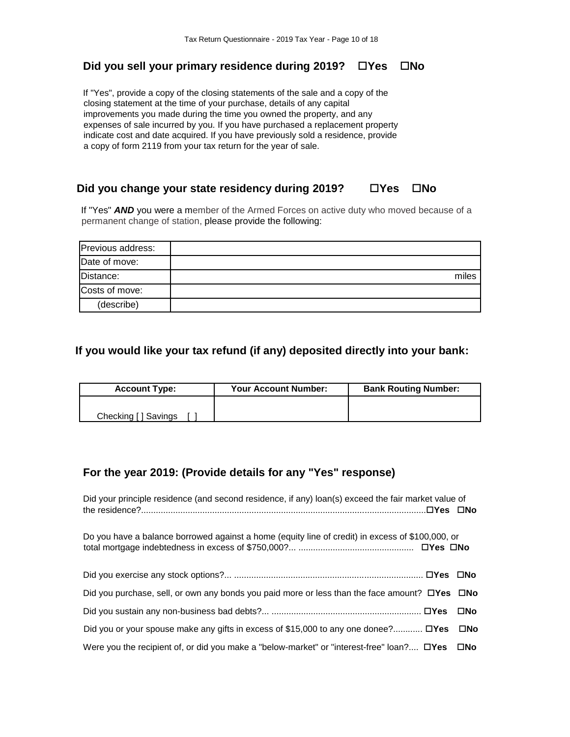### **Did you sell your primary residence during 2019? □ Yes □ No**

If "Yes", provide a copy of the closing statements of the sale and a copy of the closing statement at the time of your purchase, details of any capital improvements you made during the time you owned the property, and any expenses of sale incurred by you. If you have purchased a replacement property indicate cost and date acquired. If you have previously sold a residence, provide a copy of form 2119 from your tax return for the year of sale.

### **Did you change your state residency during 2019? □ Yes □ No**

If "Yes" **AND** you were a member of the Armed Forces on active duty who moved because of a permanent change of station, please provide the following:

| Previous address: |       |
|-------------------|-------|
| Date of move:     |       |
| Distance:         | miles |
| Costs of move:    |       |
| (describe)        |       |

### **If you would like your tax refund (if any) deposited directly into your bank:**

| <b>Account Type:</b> | <b>Your Account Number:</b> | <b>Bank Routing Number:</b> |  |
|----------------------|-----------------------------|-----------------------------|--|
|                      |                             |                             |  |
| Checking [ ] Savings |                             |                             |  |

### **For the year 2019: (Provide details for any "Yes" response)**

| Did your principle residence (and second residence, if any) loan(s) exceed the fair market value of       |     |
|-----------------------------------------------------------------------------------------------------------|-----|
| Do you have a balance borrowed against a home (equity line of credit) in excess of \$100,000, or          |     |
|                                                                                                           |     |
| Did you purchase, sell, or own any bonds you paid more or less than the face amount? $\Box$ Yes $\Box$ No |     |
|                                                                                                           | ⊟No |
| Did you or your spouse make any gifts in excess of \$15,000 to any one donee? $\Box$ Yes $\Box$ No        |     |
| Were you the recipient of, or did you make a "below-market" or "interest-free" loan? $\Box$ Yes $\Box$ No |     |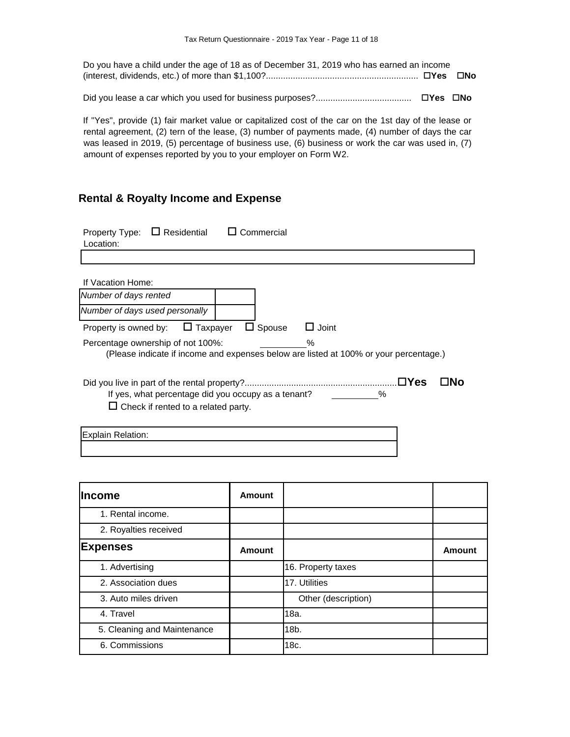| Do you have a child under the age of 18 as of December 31, 2019 who has earned an income |  |
|------------------------------------------------------------------------------------------|--|
|                                                                                          |  |
|                                                                                          |  |
|                                                                                          |  |

If "Yes", provide (1) fair market value or capitalized cost of the car on the 1st day of the lease or rental agreement, (2) tern of the lease, (3) number of payments made, (4) number of days the car was leased in 2019, (5) percentage of business use, (6) business or work the car was used in, (7) amount of expenses reported by you to your employer on Form W2.

### **Rental & Royalty Income and Expense**

| $\Box$ Residential<br>Commercial<br>Property Type:<br>Location:                                                                 |
|---------------------------------------------------------------------------------------------------------------------------------|
|                                                                                                                                 |
| If Vacation Home:                                                                                                               |
| Number of days rented                                                                                                           |
| Number of days used personally                                                                                                  |
| $\Box$ Spouse<br>$\sqcup$ Taxpayer<br>Joint<br>Property is owned by:                                                            |
| Percentage ownership of not 100%:<br>℅<br>(Please indicate if income and expenses below are listed at 100% or your percentage.) |
| ⊟Yes<br>്രവ<br>If yes, what percentage did you occupy as a tenant?<br>$\%$<br>$\Box$ Check if rented to a related party.        |
| Explain Relation:                                                                                                               |

| <b>Income</b>               | Amount |                     |               |
|-----------------------------|--------|---------------------|---------------|
| 1. Rental income.           |        |                     |               |
| 2. Royalties received       |        |                     |               |
| <b>Expenses</b>             | Amount |                     | <b>Amount</b> |
| 1. Advertising              |        | 16. Property taxes  |               |
| 2. Association dues         |        | 17. Utilities       |               |
| 3. Auto miles driven        |        | Other (description) |               |
| 4. Travel                   |        | 18a.                |               |
| 5. Cleaning and Maintenance |        | 18b.                |               |
| 6. Commissions              |        | 18c.                |               |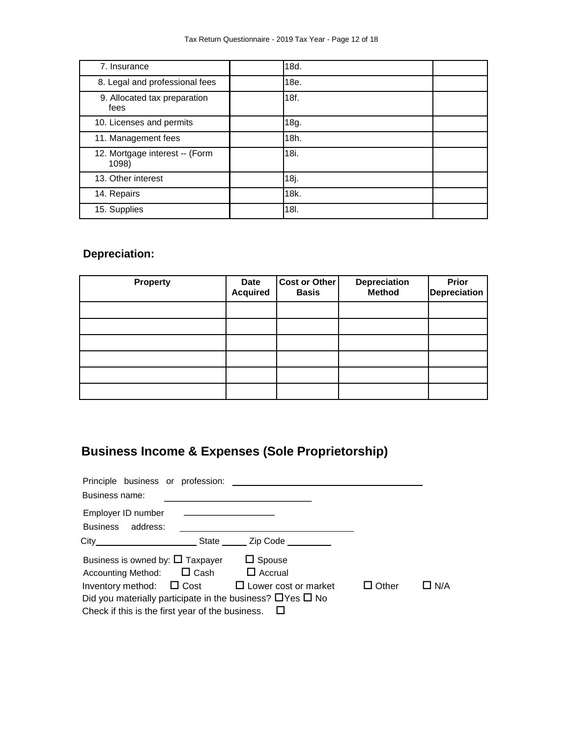| 7. Insurance                            | 18d. |
|-----------------------------------------|------|
| 8. Legal and professional fees          | 18e. |
| 9. Allocated tax preparation<br>fees    | 18f. |
| 10. Licenses and permits                | 18g. |
| 11. Management fees                     | 18h. |
| 12. Mortgage interest -- (Form<br>1098) | 18i. |
| 13. Other interest                      | 18j. |
| 14. Repairs                             | 18k. |
| 15. Supplies                            | 18I. |

# **Depreciation:**

| <b>Property</b> | <b>Date</b><br><b>Acquired</b> | <b>Cost or Other</b><br><b>Basis</b> | <b>Depreciation</b><br><b>Method</b> | Prior<br><b>Depreciation</b> |
|-----------------|--------------------------------|--------------------------------------|--------------------------------------|------------------------------|
|                 |                                |                                      |                                      |                              |
|                 |                                |                                      |                                      |                              |
|                 |                                |                                      |                                      |                              |
|                 |                                |                                      |                                      |                              |
|                 |                                |                                      |                                      |                              |
|                 |                                |                                      |                                      |                              |

# **Business Income & Expenses (Sole Proprietorship)**

| Business name:                                                                        |               |              |            |
|---------------------------------------------------------------------------------------|---------------|--------------|------------|
| Employer ID number<br><u> 1989 - Johann Barn, fransk politik amerikansk politik (</u> |               |              |            |
| Business address:                                                                     |               |              |            |
| City City City City Code                                                              |               |              |            |
| Business is owned by: $\square$ Taxpayer                                              | $\Box$ Spouse |              |            |
| Accounting Method: □ Cash □ Accrual                                                   |               |              |            |
| Inventory method: $\Box$ Cost $\Box$ Lower cost or market                             |               | $\Box$ Other | $\Box$ N/A |
| Did you materially participate in the business? $\Box$ Yes $\Box$ No                  |               |              |            |
| Check if this is the first year of the business. $\Box$                               |               |              |            |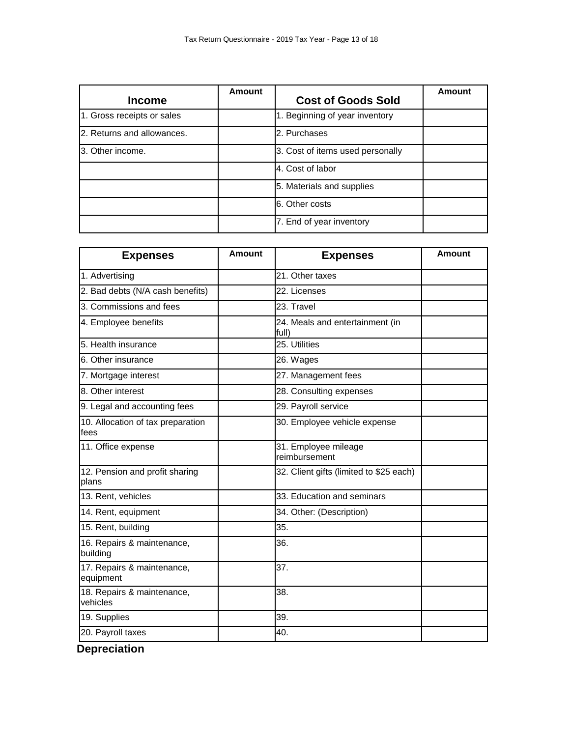| <b>Income</b>              | Amount | <b>Cost of Goods Sold</b>        | Amount |
|----------------------------|--------|----------------------------------|--------|
| 1. Gross receipts or sales |        | 1. Beginning of year inventory   |        |
| 2. Returns and allowances. |        | 2. Purchases                     |        |
| l3. Other income.          |        | 3. Cost of items used personally |        |
|                            |        | 4. Cost of labor                 |        |
|                            |        | 5. Materials and supplies        |        |
|                            |        | 6. Other costs                   |        |
|                            |        | 7. End of year inventory         |        |

| <b>Expenses</b>                           | <b>Amount</b> | <b>Expenses</b>                          | Amount |
|-------------------------------------------|---------------|------------------------------------------|--------|
| 1. Advertising                            |               | 21. Other taxes                          |        |
| 2. Bad debts (N/A cash benefits)          |               | 22. Licenses                             |        |
| 3. Commissions and fees                   |               | 23. Travel                               |        |
| 4. Employee benefits                      |               | 24. Meals and entertainment (in<br>full) |        |
| 5. Health insurance                       |               | 25. Utilities                            |        |
| 6. Other insurance                        |               | 26. Wages                                |        |
| 7. Mortgage interest                      |               | 27. Management fees                      |        |
| 8. Other interest                         |               | 28. Consulting expenses                  |        |
| 9. Legal and accounting fees              |               | 29. Payroll service                      |        |
| 10. Allocation of tax preparation<br>fees |               | 30. Employee vehicle expense             |        |
| 11. Office expense                        |               | 31. Employee mileage<br>reimbursement    |        |
| 12. Pension and profit sharing<br>plans   |               | 32. Client gifts (limited to \$25 each)  |        |
| 13. Rent, vehicles                        |               | 33. Education and seminars               |        |
| 14. Rent, equipment                       |               | 34. Other: (Description)                 |        |
| 15. Rent, building                        |               | 35.                                      |        |
| 16. Repairs & maintenance,<br>building    |               | 36.                                      |        |
| 17. Repairs & maintenance,<br>equipment   |               | 37.                                      |        |
| 18. Repairs & maintenance,<br>vehicles    |               | 38.                                      |        |
| 19. Supplies                              |               | 39.                                      |        |
| 20. Payroll taxes                         |               | 40.                                      |        |

**Depreciation**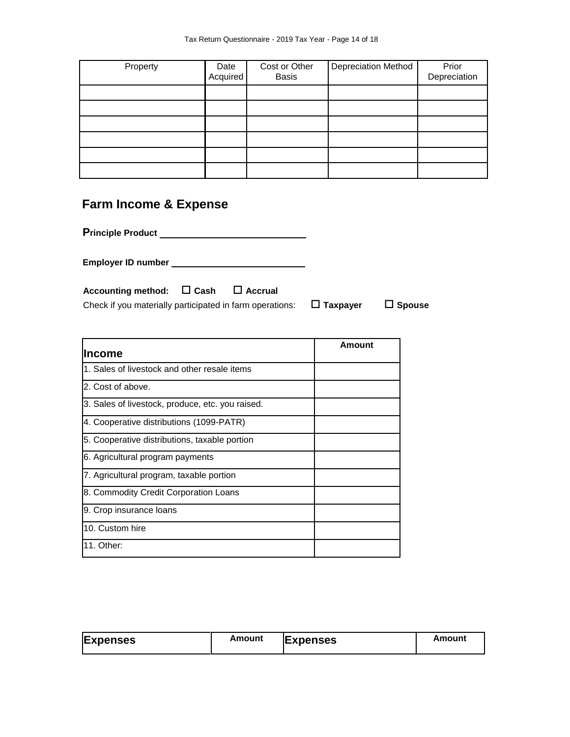| Property | Date<br>Acquired | Cost or Other<br><b>Basis</b> | <b>Depreciation Method</b> | Prior<br>Depreciation |
|----------|------------------|-------------------------------|----------------------------|-----------------------|
|          |                  |                               |                            |                       |
|          |                  |                               |                            |                       |
|          |                  |                               |                            |                       |
|          |                  |                               |                            |                       |
|          |                  |                               |                            |                       |
|          |                  |                               |                            |                       |

# **Farm Income & Expense**

**Principle Product** 

**Employer ID number** 

| Accounting method: $\Box$ Cash                           | $\Box$ Accrual |                 |               |
|----------------------------------------------------------|----------------|-----------------|---------------|
| Check if you materially participated in farm operations: |                | $\Box$ Taxpayer | $\Box$ Spouse |

| Income                                           | Amount |
|--------------------------------------------------|--------|
| 1. Sales of livestock and other resale items     |        |
| 2. Cost of above.                                |        |
| 3. Sales of livestock, produce, etc. you raised. |        |
| 4. Cooperative distributions (1099-PATR)         |        |
| 5. Cooperative distributions, taxable portion    |        |
| 6. Agricultural program payments                 |        |
| 7. Agricultural program, taxable portion         |        |
| 8. Commodity Credit Corporation Loans            |        |
| 9. Crop insurance loans                          |        |
| 10. Custom hire                                  |        |
| 11. Other:                                       |        |

| <b>Expenses</b> | Amount | <b>Expenses</b> | Amount |
|-----------------|--------|-----------------|--------|
|                 |        |                 |        |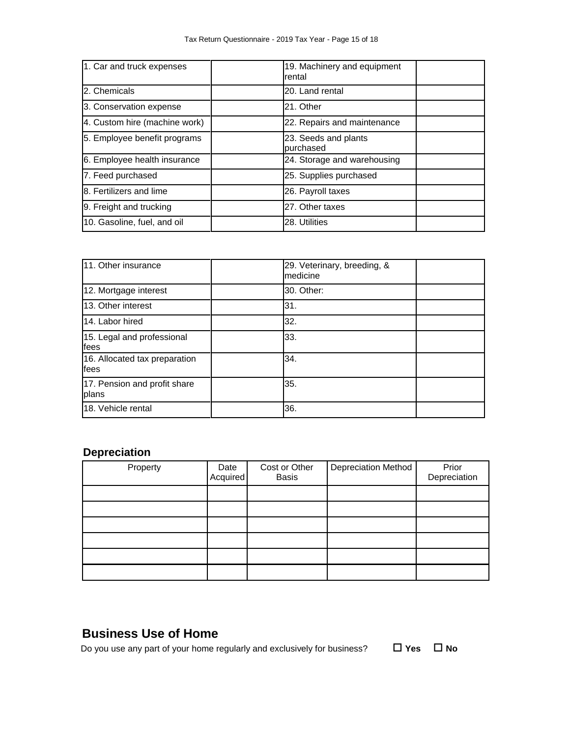| 1. Car and truck expenses     | 19. Machinery and equipment<br>rental |  |
|-------------------------------|---------------------------------------|--|
| 2. Chemicals                  | 20. Land rental                       |  |
| 3. Conservation expense       | 21. Other                             |  |
| 4. Custom hire (machine work) | 22. Repairs and maintenance           |  |
| 5. Employee benefit programs  | 23. Seeds and plants<br>purchased     |  |
| 6. Employee health insurance  | 24. Storage and warehousing           |  |
| 7. Feed purchased             | 25. Supplies purchased                |  |
| 8. Fertilizers and lime       | 26. Payroll taxes                     |  |
| 9. Freight and trucking       | 27. Other taxes                       |  |
| 10. Gasoline, fuel, and oil   | 28. Utilities                         |  |

| 11. Other insurance                    | 29. Veterinary, breeding, &<br>medicine |  |
|----------------------------------------|-----------------------------------------|--|
| 12. Mortgage interest                  | 30. Other:                              |  |
| 13. Other interest                     | 31.                                     |  |
| 14. Labor hired                        | 32.                                     |  |
| 15. Legal and professional<br>fees     | 33.                                     |  |
| 16. Allocated tax preparation<br>lfees | 34.                                     |  |
| 17. Pension and profit share<br>plans  | 35.                                     |  |
| 18. Vehicle rental                     | 36.                                     |  |

# **Depreciation**

| Property | Date<br>Acquired | Cost or Other<br><b>Basis</b> | Depreciation Method | Prior<br>Depreciation |
|----------|------------------|-------------------------------|---------------------|-----------------------|
|          |                  |                               |                     |                       |
|          |                  |                               |                     |                       |
|          |                  |                               |                     |                       |
|          |                  |                               |                     |                       |
|          |                  |                               |                     |                       |
|          |                  |                               |                     |                       |

# **Business Use of Home**

Do you use any part of your home regularly and exclusively for business?  $\Box$  Yes  $\Box$  No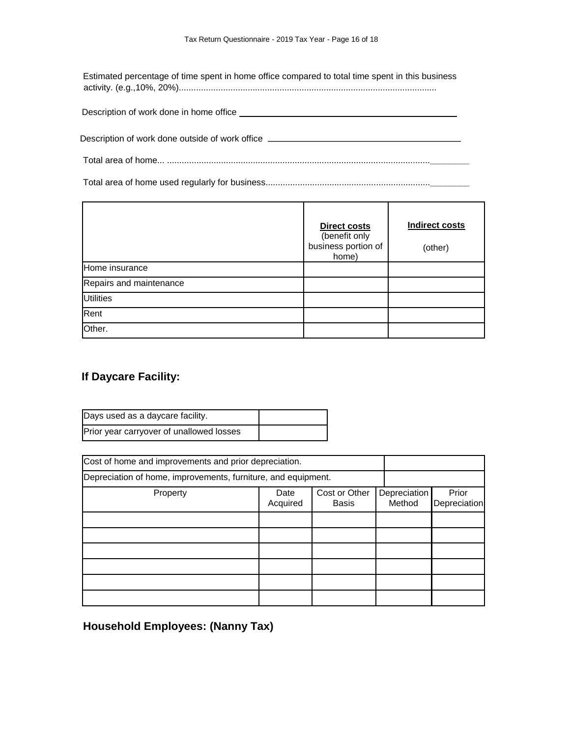Estimated percentage of time spent in home office compared to total time spent in this business activity. (e.g.,10%, 20%).........................................................................................................

| Description of work done in home office |  |
|-----------------------------------------|--|
|                                         |  |

Description of work done outside of work office \_\_\_\_\_\_\_\_\_\_\_\_\_\_\_\_\_\_\_\_\_\_\_\_\_\_\_\_\_\_\_\_

Total area of home... ...........................................................................................................**\_\_\_\_\_\_\_\_**

Total area of home used regularly for business...................................................................**\_\_\_\_\_\_\_\_**

|                         | <b>Direct costs</b><br>(benefit only<br>business portion of<br>home) | <b>Indirect costs</b><br>(other) |
|-------------------------|----------------------------------------------------------------------|----------------------------------|
| Home insurance          |                                                                      |                                  |
| Repairs and maintenance |                                                                      |                                  |
| <b>Utilities</b>        |                                                                      |                                  |
| Rent                    |                                                                      |                                  |
| Other.                  |                                                                      |                                  |

### **If Daycare Facility:**

| Days used as a daycare facility.         |  |
|------------------------------------------|--|
| Prior year carryover of unallowed losses |  |

| Cost of home and improvements and prior depreciation.                                   |  |  |  |                       |
|-----------------------------------------------------------------------------------------|--|--|--|-----------------------|
| Depreciation of home, improvements, furniture, and equipment.                           |  |  |  |                       |
| Cost or Other<br>Depreciation<br>Property<br>Date<br>Method<br>Acquired<br><b>Basis</b> |  |  |  | Prior<br>Depreciation |
|                                                                                         |  |  |  |                       |
|                                                                                         |  |  |  |                       |
|                                                                                         |  |  |  |                       |
|                                                                                         |  |  |  |                       |
|                                                                                         |  |  |  |                       |
|                                                                                         |  |  |  |                       |

**Household Employees: (Nanny Tax)**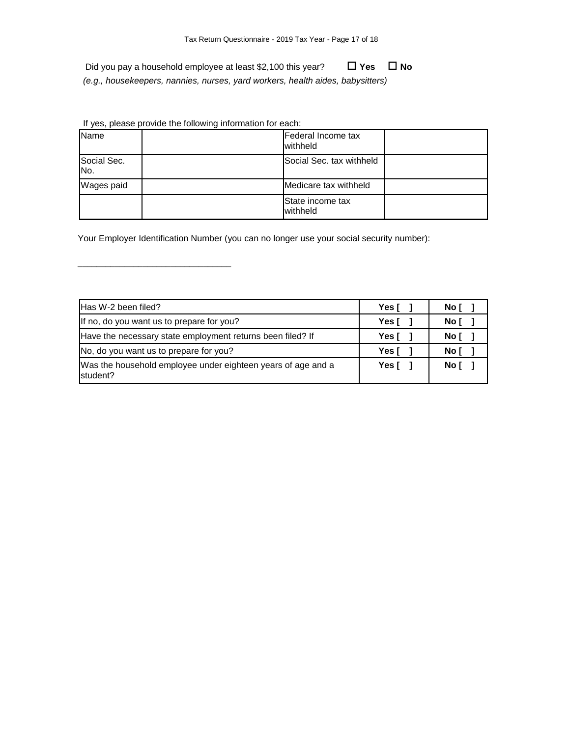Did you pay a household employee at least \$2,100 this year? **□ Yes D** No *(e.g., housekeepers, nannies, nurses, yard workers, health aides, babysitters)*

If yes, please provide the following information for each:

\_\_\_\_\_\_\_\_\_\_\_\_\_\_\_\_\_\_\_\_\_\_\_\_\_\_\_\_\_\_\_\_\_

| Name                           | Federal Income tax<br>withheld |  |
|--------------------------------|--------------------------------|--|
| Social Sec.<br>IN <sub>o</sub> | Social Sec. tax withheld       |  |
| Wages paid                     | Medicare tax withheld          |  |
|                                | State income tax<br>withheld   |  |

Your Employer Identification Number (you can no longer use your social security number):

| Has W-2 been filed?                                                      | Yes $\lceil \quad \rceil$ | No [ |
|--------------------------------------------------------------------------|---------------------------|------|
| If no, do you want us to prepare for you?                                | Yes [                     | No [ |
| Have the necessary state employment returns been filed? If               | Yes [                     | No [ |
| No, do you want us to prepare for you?                                   | Yes [                     | No [ |
| Was the household employee under eighteen years of age and a<br>student? | Yes [                     | Noľ  |